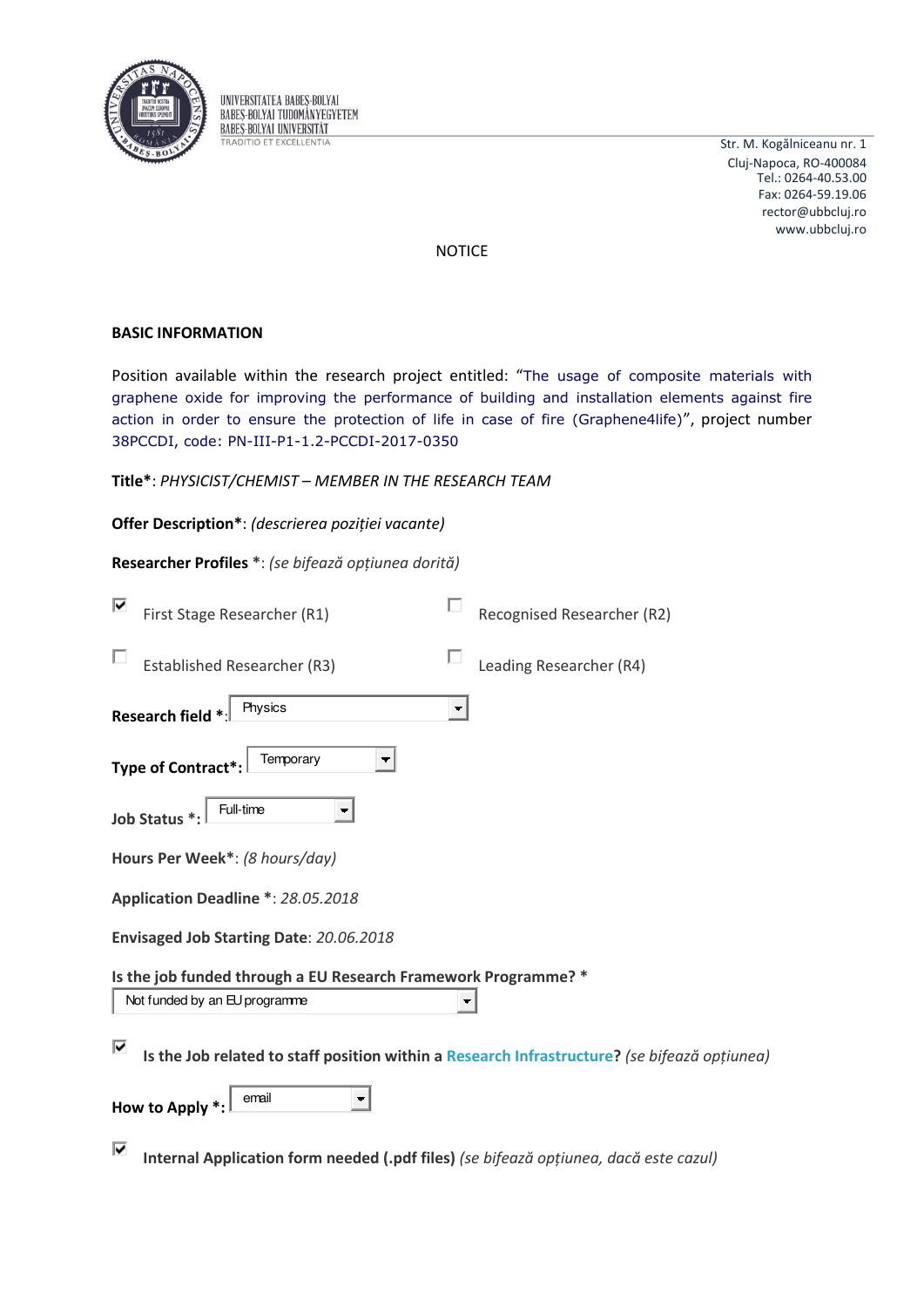

UNIVERSITATEA BABES-BOLYAI **BABES-BOLYAI TUDOMÁNYEGYETEM BABES-BOLYAI UNIVERSITAT TRADITIO ET EXCELLENTIA** 

Str. M. Kogălniceanu nr. 1 Cluj-Napoca, RO-400084 Tel.: 0264-40.53.00 Fax: 0264-59.19.06 rector@ubbcluj.ro www.ubbcluj.ro

**NOTICE** 

# **BASIC INFORMATION**

Position available within the research project entitled: "The usage of composite materials with graphene oxide for improving the performance of building and installation elements against fire action in order to ensure the protection of life in case of fire (Graphene4life)", project number 38PCCDI, code: PN-III-P1-1.2-PCCDI-2017-0350

|  | Title*: PHYSICIST/CHEMIST - MEMBER IN THE RESEARCH TEAM |  |  |
|--|---------------------------------------------------------|--|--|
|  |                                                         |  |  |

Offer Description\*: (descrierea poziției vacante)

Researcher Profiles \*: (se bifează opțiunea dorită)

| ⊽<br>First Stage Researcher (R1)                                                                   | Recognised Researcher (R2) |  |  |  |
|----------------------------------------------------------------------------------------------------|----------------------------|--|--|--|
| <b>Established Researcher (R3)</b>                                                                 | Leading Researcher (R4)    |  |  |  |
| Physics<br>Research field *:                                                                       |                            |  |  |  |
| Temporary<br>▼<br>Type of Contract*:                                                               |                            |  |  |  |
| Full-time<br>Job Status *:                                                                         |                            |  |  |  |
| Hours Per Week*: (8 hours/day)                                                                     |                            |  |  |  |
| Application Deadline *: 28.05.2018                                                                 |                            |  |  |  |
| Envisaged Job Starting Date: 20.06.2018                                                            |                            |  |  |  |
| Is the job funded through a EU Research Framework Programme? *                                     |                            |  |  |  |
| Not funded by an EU programme                                                                      | ۳                          |  |  |  |
| 1Й<br>Is the Job related to staff position within a Research Infrastructure? (se bifează opțiunea) |                            |  |  |  |
| email<br><b>How to Apply</b>                                                                       |                            |  |  |  |

⊽ Internal Application form needed (.pdf files) (se bifează opțiunea, dacă este cazul)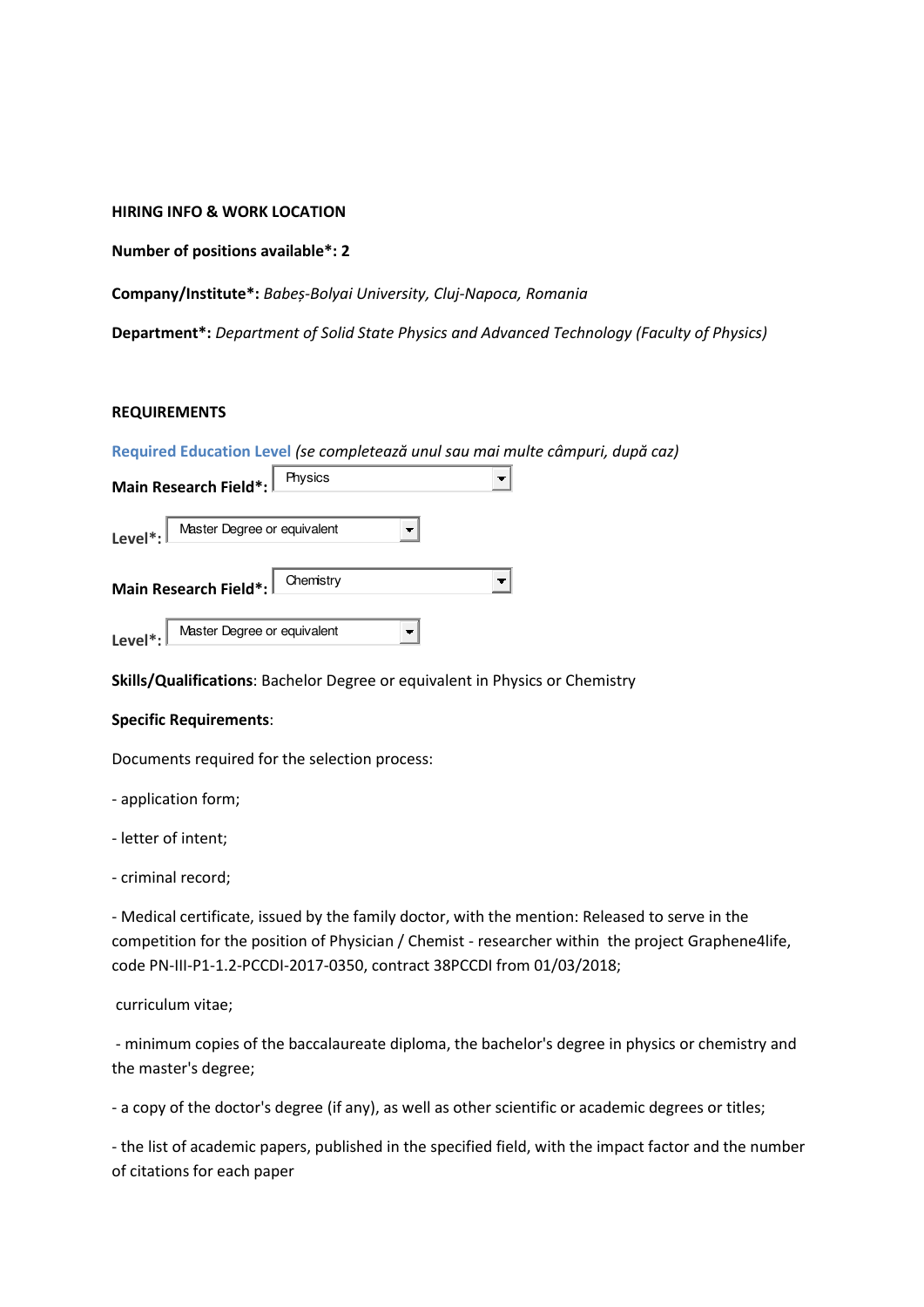**HIRING INFO & WORK LOCATION** 

**Number of positions available\*: 2** 

**Company/Institute\*:** *Baďeș-Bolyai University, Cluj-Napoca, Romania* 

**Department\*:** *Department of Solid State Physics and Advanced Technology (Faculty of Physics)* 

#### **REQUIREMENTS**

|                                                     |           | Required Education Level (se completează unul sau mai multe câmpuri, după caz) |
|-----------------------------------------------------|-----------|--------------------------------------------------------------------------------|
| Main Research Field*:                               | Physics   |                                                                                |
| Master Degree or equivalent<br>Level <sup>*</sup> : |           |                                                                                |
| Main Research Field*:                               | Chemistry |                                                                                |
| Level <sup>*</sup> : Master Degree or equivalent    |           |                                                                                |

**Skills/Qualifications**: Bachelor Degree or equivalent in Physics or Chemistry

#### **Specific Requirements**:

Documents required for the selection process:

- application form;

- letter of intent;

- criminal record;

- Medical certificate, issued by the family doctor, with the mention: Released to serve in the competition for the position of Physician / Chemist - researcher within the project Graphene4life, code PN-III-P1-1.2-PCCDI-2017-0350, contract 38PCCDI from 01/03/2018;

curriculum vitae;

 - minimum copies of the baccalaureate diploma, the bachelor's degree in physics or chemistry and the master's degree;

- a copy of the doctor's degree (if any), as well as other scientific or academic degrees or titles;

- the list of academic papers, published in the specified field, with the impact factor and the number of citations for each paper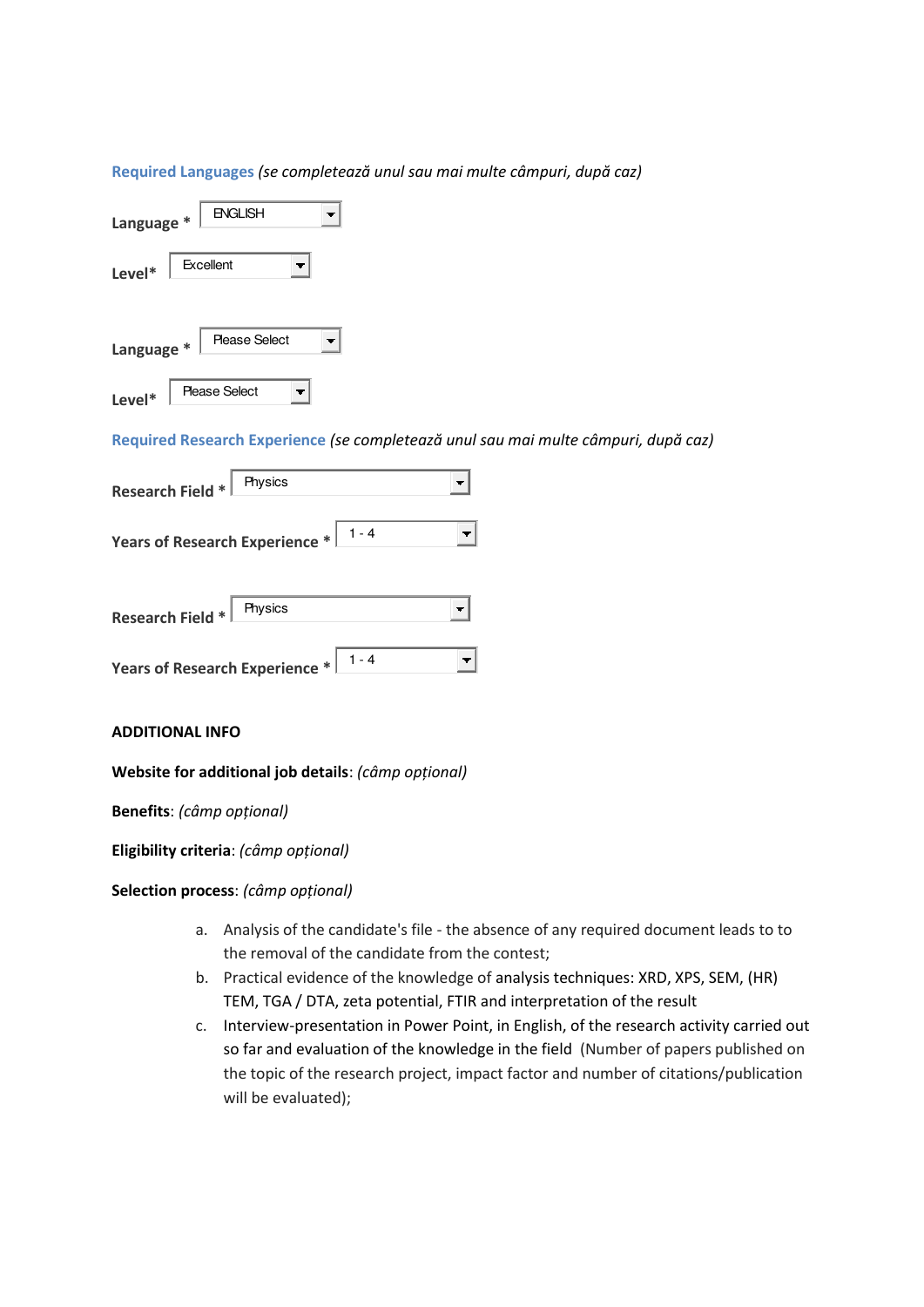## **Required Languages (se completează unul sau mai multe câmpuri, după caz)**

| Language * | <b>ENGLISH</b>       |  |
|------------|----------------------|--|
| Level*     | Excellent            |  |
| Language * | <b>Please Select</b> |  |
| Level*     | Please Select        |  |

**Required Research Experience (se completează unul sau mai multe câmpuri, după caz)** 

| Physics<br>Research Field *                                                         |  |
|-------------------------------------------------------------------------------------|--|
| Years of Research Experience $*$ $\begin{array}{ c c } 1 - 4 \\ \hline \end{array}$ |  |
| Physics<br><b>Research Field *</b>                                                  |  |
| $1 - 4$<br>Years of Research Experience *                                           |  |

#### **ADDITIONAL INFO**

## **Website for additional job details**: *(câmp opțional)*

**Benefits**: (câmp opțional)

**Eligibility criteria**: (câmp opțional)

## **Selection process: (câmp opțional)**

- a. Analysis of the candidate's file the absence of any required document leads to to the removal of the candidate from the contest;
- b. Practical evidence of the knowledge of analysis techniques: XRD, XPS, SEM, (HR) TEM, TGA / DTA, zeta potential, FTIR and interpretation of the result
- c. Interview-presentation in Power Point, in English, of the research activity carried out so far and evaluation of the knowledge in the field (Number of papers published on the topic of the research project, impact factor and number of citations/publication will be evaluated);